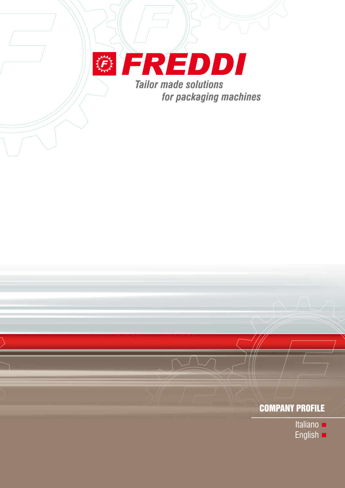

## COMPANY PROFILE

- Italiano **=**
- English **D**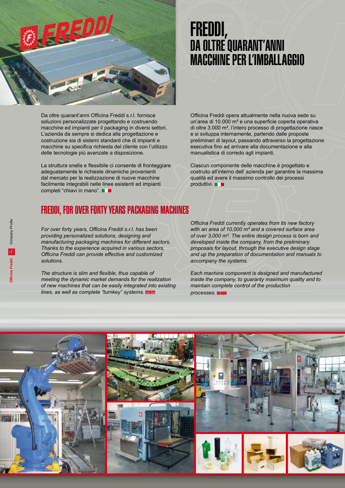

Da oltre quarant'anni Officina Freddi s.r.l. fornisce soluzioni personalizzate progettando e costruendo macchine ed impianti per il packaging in diversi settori. L'azienda da sempre si dedica alla progettazione e costruzione sia di sistemi standard che di impianti e macchine su specifica richiesta del cliente con l'utilizzo delle tecnologie più avanzate a disposizione.

La struttura snella e flessibile ci consente di fronteggiare adeguatamente le richieste dinamiche provenienti dal mercato per la realizzazione di nuove macchine facilmente integrabili nelle linee esistenti ed impianti completi "chiavi in mano".  $\blacksquare$ 

## FREDDI, FOR OVER FORTY YEARS PACKAGING MACHINES

*For over forty years, Officina Freddi s.r.l. has been providing personalized solutions, designing and manufacturing packaging machines for different sectors. Thanks to the experience acquired in various sectors, Officina Freddi can provide effective and customized solutions.* 

*The structure is slim and flexible, thus capable of meeting the dynamic market demands for the realization of new machines that can be easily integrated into existing lines, as well as complete "turnkey" systems.* 

# FREDDI, DA OLTRE QUARANT'ANNI MACCHINE PER L'IMBALLAGGIO

Officina Freddi opera attualmente nella nuova sede su un'area di 10.000 m² e una superficie coperta operativa di oltre 3.000 m², l'intero processo di progettazione nasce e si sviluppa internamente, partendo dalle proposte preliminari di layout, passando attraverso la progettazione esecutiva fino ad arrivare alla documentazione e alla manualistica di corredo agli impianti.

Ciascun componente delle macchine è progettato e costruito all'interno dell' azienda per garantire la massima qualità ed avere il massimo controllo dei processi produttivi.

*Officina Freddi currently operates from its new factory with an area of 10,000 m² and a covered surface area of over 3,000 m². The entire design process is born and developed inside the company, from the preliminary proposals for layout, through the executive design stage and up the preparation of documentation and manuals to accompany the systems.* 

*Each machine component is designed and manufactured inside the company, to guaranty maximum quality and to maintain complete control of the production processes.* 

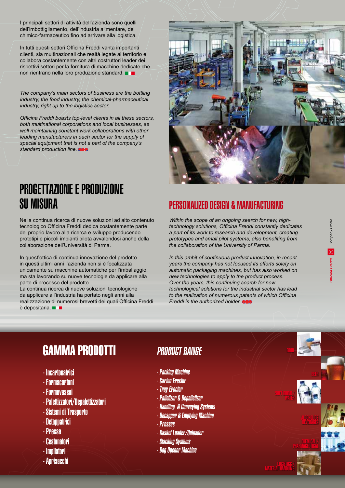I principali settori di attività dell'azienda sono quelli dell'imbottigliamento, dell'industria alimentare, del chimico-farmaceutico fino ad arrivare alla logistica.

In tutti questi settori Officina Freddi vanta importanti clienti, sia multinazionali che realtà legate al territorio e collabora costantemente con altri costruttori leader dei rispettivi settori per la fornitura di macchine dedicate che non rientrano nella loro produzione standard.

*The company's main sectors of business are the bottling industry, the food industry, the chemical-pharmaceutical industry, right up to the logistics sector.* 

*Officina Freddi boasts top-level clients in all these sectors, both multinational corporations and local businesses, as well maintaining constant work collaborations with other leading manufacturers in each sector for the supply of special equipment that is not a part of the company's standard production line.* 



# PROGETTAZIONE E PRODUZIONE

Nella continua ricerca di nuove soluzioni ad alto contenuto tecnologico Officina Freddi dedica costantemente parte del proprio lavoro alla ricerca e sviluppo producendo prototipi e piccoli impianti pilota avvalendosi anche della collaborazione dell'Università di Parma.

In quest'ottica di continua innovazione del prodotto in questi ultimi anni l'azienda non si è focalizzata unicamente su macchine automatiche per l'imballaggio, ma sta lavorando su nuove tecnologie da applicare alla parte di processo del prodotto.

La continua ricerca di nuove soluzioni tecnologiche da applicare all'industria ha portato negli anni alla realizzazione di numerosi brevetti dei quali Officina Freddi è depositaria.

### PERSONALIZED DESIGN & MANUFACTURING

*Within the scope of an ongoing search for new, hightechnology solutions, Officina Freddi constantly dedicates a part of its work to research and development, creating prototypes and small pilot systems, also benefiting from the collaboration of the University of Parma.* 

*In this ambit of continuous product innovation, in recent years the company has not focused its efforts solely on automatic packaging machines, but has also worked on new technologies to apply to the product process. Over the years, this continuing search for new technological solutions for the industrial sector has lead to the realization of numerous patents of which Officina Freddi is the authorized holder.* 

# GAMMA PRODOTTI PRODUCT RANGE

- Incartonatrici
- Formacartoni
- Formavassoi
- Palettizzatori/Depalettizzatori
- Sistemi di Trasporto
- Detappatrici
- Presse
- Cestonatori
- Impilatori
- Aprisacchi

- Packing Machine
- Carton Erector
- Tray Erector
- Palletizer & Depalletizer
- Handling & Conveying Systems
- Decapper & Emptying Machine
- Presses
- Basket Loader/Unloader
- Stacking Systems
- Bag Opener Machine